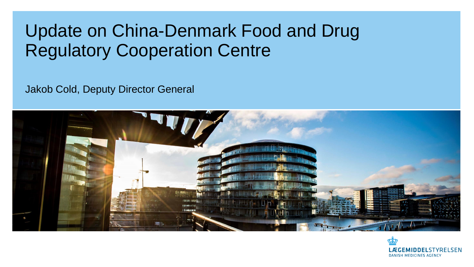## Update on China-Denmark Food and Drug Regulatory Cooperation Centre

Jakob Cold, Deputy Director General



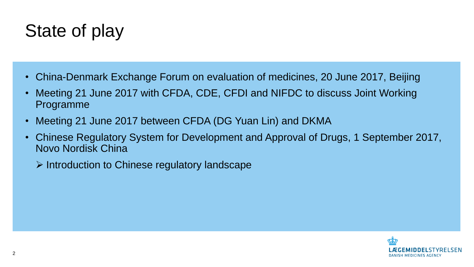## State of play

- China-Denmark Exchange Forum on evaluation of medicines, 20 June 2017, Beijing
- Meeting 21 June 2017 with CFDA, CDE, CFDI and NIFDC to discuss Joint Working Programme
- Meeting 21 June 2017 between CFDA (DG Yuan Lin) and DKMA
- Chinese Regulatory System for Development and Approval of Drugs, 1 September 2017, Novo Nordisk China
	- $\triangleright$  Introduction to Chinese regulatory landscape

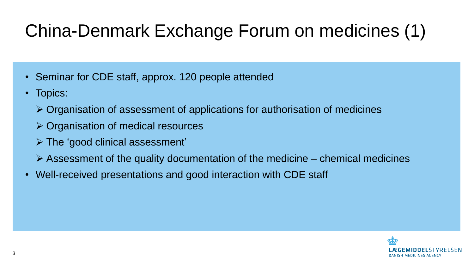# China-Denmark Exchange Forum on medicines (1)

- Seminar for CDE staff, approx. 120 people attended
- Topics:
	- Organisation of assessment of applications for authorisation of medicines
	- Organisation of medical resources
	- The 'good clinical assessment'
	- $\triangleright$  Assessment of the quality documentation of the medicine chemical medicines
- Well-received presentations and good interaction with CDE staff

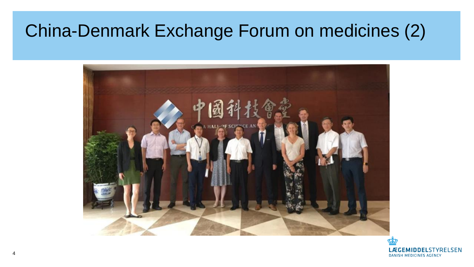## China-Denmark Exchange Forum on medicines (2)



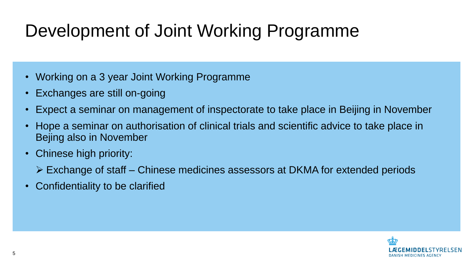## Development of Joint Working Programme

- Working on a 3 year Joint Working Programme
- Exchanges are still on-going
- Expect a seminar on management of inspectorate to take place in Beijing in November
- Hope a seminar on authorisation of clinical trials and scientific advice to take place in Bejing also in November
- Chinese high priority:
	- Exchange of staff Chinese medicines assessors at DKMA for extended periods
- Confidentiality to be clarified

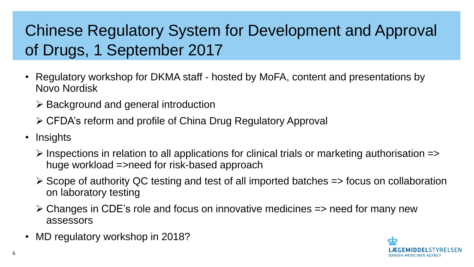### Chinese Regulatory System for Development and Approval of Drugs, 1 September 2017

- Regulatory workshop for DKMA staff hosted by MoFA, content and presentations by Novo Nordisk
	- $\triangleright$  Background and general introduction
	- CFDA's reform and profile of China Drug Regulatory Approval
- Insights
	- $\triangleright$  Inspections in relation to all applications for clinical trials or marketing authorisation => huge workload =>need for risk-based approach
	- $\triangleright$  Scope of authority QC testing and test of all imported batches  $\Rightarrow$  focus on collaboration on laboratory testing
	- $\triangleright$  Changes in CDE's role and focus on innovative medicines  $\Rightarrow$  need for many new assessors
- MD regulatory workshop in 2018?

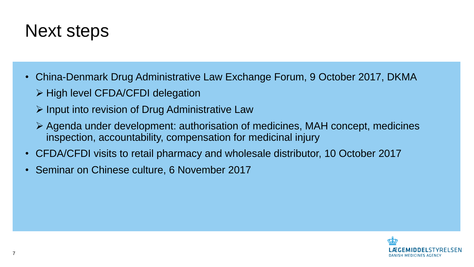#### Next steps

- China-Denmark Drug Administrative Law Exchange Forum, 9 October 2017, DKMA
	- $\triangleright$  High level CFDA/CFDI delegation
	- $\triangleright$  Input into revision of Drug Administrative Law
	- Agenda under development: authorisation of medicines, MAH concept, medicines inspection, accountability, compensation for medicinal injury
- CFDA/CFDI visits to retail pharmacy and wholesale distributor, 10 October 2017
- Seminar on Chinese culture, 6 November 2017